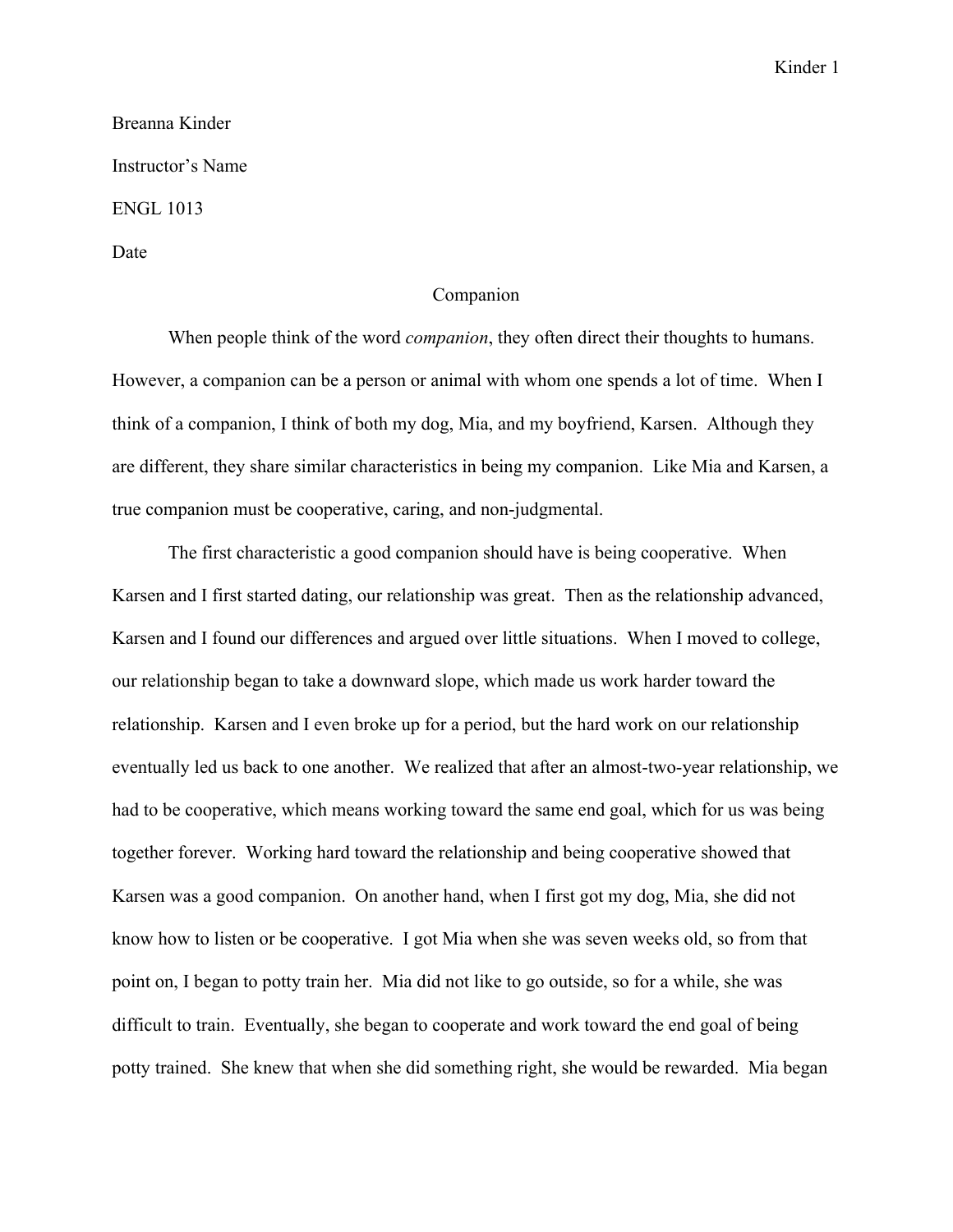## Kinder 1

## Breanna Kinder Instructor's Name ENGL 1013 Date

## Companion

When people think of the word *companion*, they often direct their thoughts to humans. However, a companion can be a person or animal with whom one spends a lot of time. When I think of a companion, I think of both my dog, Mia, and my boyfriend, Karsen. Although they are different, they share similar characteristics in being my companion. Like Mia and Karsen, a true companion must be cooperative, caring, and non-judgmental.

The first characteristic a good companion should have is being cooperative. When Karsen and I first started dating, our relationship was great. Then as the relationship advanced, Karsen and I found our differences and argued over little situations. When I moved to college, our relationship began to take a downward slope, which made us work harder toward the relationship. Karsen and I even broke up for a period, but the hard work on our relationship eventually led us back to one another. We realized that after an almost-two-year relationship, we had to be cooperative, which means working toward the same end goal, which for us was being together forever. Working hard toward the relationship and being cooperative showed that Karsen was a good companion. On another hand, when I first got my dog, Mia, she did not know how to listen or be cooperative. I got Mia when she was seven weeks old, so from that point on, I began to potty train her. Mia did not like to go outside, so for a while, she was difficult to train. Eventually, she began to cooperate and work toward the end goal of being potty trained. She knew that when she did something right, she would be rewarded. Mia began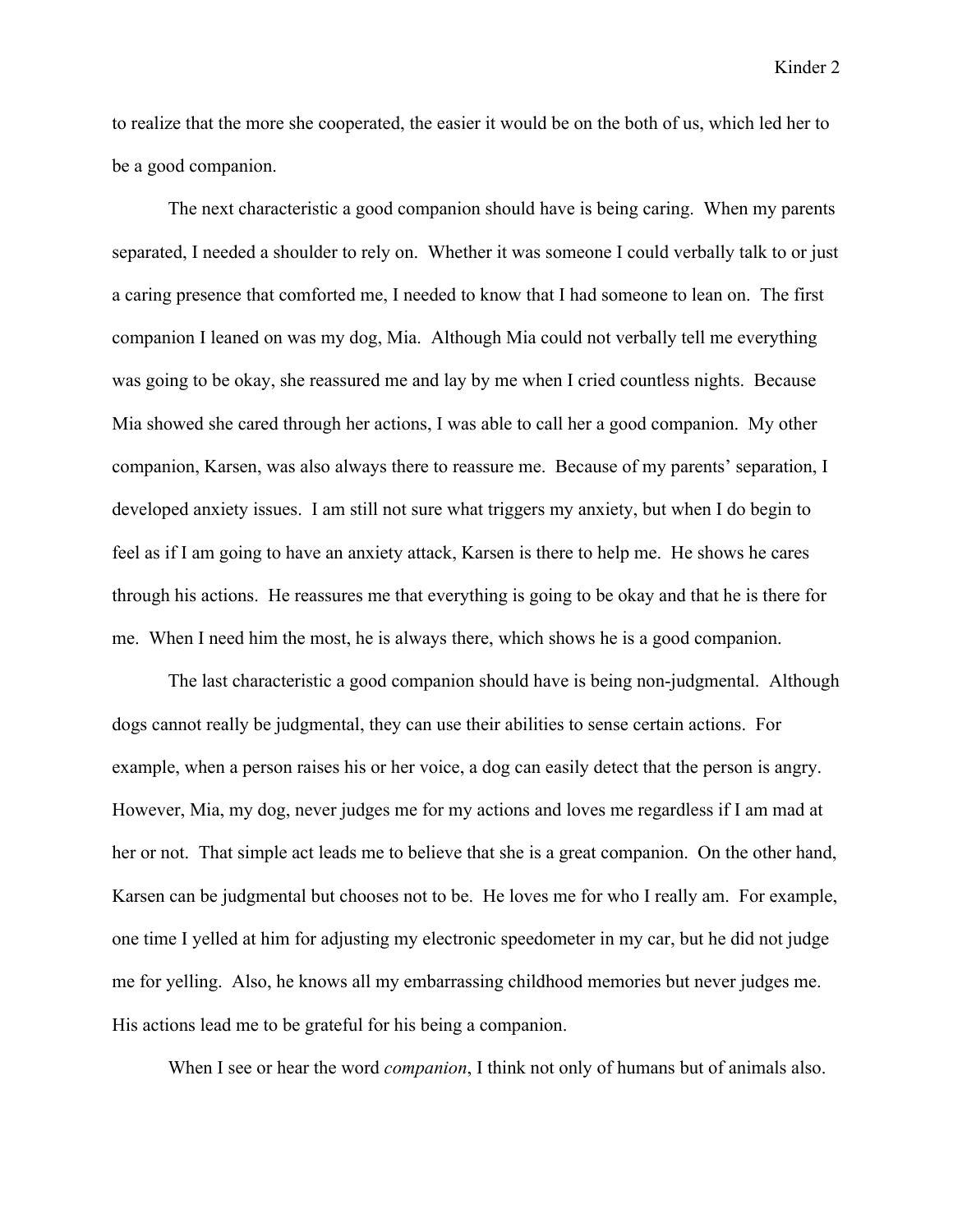Kinder 2

to realize that the more she cooperated, the easier it would be on the both of us, which led her to be a good companion.

The next characteristic a good companion should have is being caring. When my parents separated, I needed a shoulder to rely on. Whether it was someone I could verbally talk to or just a caring presence that comforted me, I needed to know that I had someone to lean on. The first companion I leaned on was my dog, Mia. Although Mia could not verbally tell me everything was going to be okay, she reassured me and lay by me when I cried countless nights. Because Mia showed she cared through her actions, I was able to call her a good companion. My other companion, Karsen, was also always there to reassure me. Because of my parents' separation, I developed anxiety issues. I am still not sure what triggers my anxiety, but when I do begin to feel as if I am going to have an anxiety attack, Karsen is there to help me. He shows he cares through his actions. He reassures me that everything is going to be okay and that he is there for me. When I need him the most, he is always there, which shows he is a good companion.

The last characteristic a good companion should have is being non-judgmental. Although dogs cannot really be judgmental, they can use their abilities to sense certain actions. For example, when a person raises his or her voice, a dog can easily detect that the person is angry. However, Mia, my dog, never judges me for my actions and loves me regardless if I am mad at her or not. That simple act leads me to believe that she is a great companion. On the other hand, Karsen can be judgmental but chooses not to be. He loves me for who I really am. For example, one time I yelled at him for adjusting my electronic speedometer in my car, but he did not judge me for yelling. Also, he knows all my embarrassing childhood memories but never judges me. His actions lead me to be grateful for his being a companion.

When I see or hear the word *companion*, I think not only of humans but of animals also.